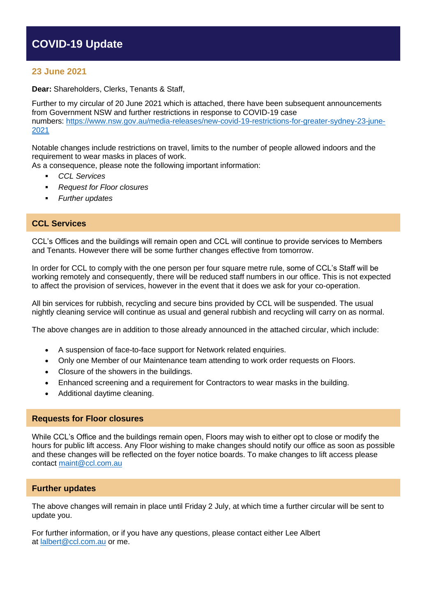# **COVID-19 Update**

## **23 June 2021**

**Dear:** Shareholders, Clerks, Tenants & Staff,

Further to my circular of 20 June 2021 which is attached, there have been subsequent announcements from Government NSW and further restrictions in response to COVID-19 case numbers: [https://www.nsw.gov.au/media-releases/new-covid-19-restrictions-for-greater-sydney-23-june-](https://www.nsw.gov.au/media-releases/new-covid-19-restrictions-for-greater-sydney-23-june-2021)[2021](https://www.nsw.gov.au/media-releases/new-covid-19-restrictions-for-greater-sydney-23-june-2021) 

Notable changes include restrictions on travel, limits to the number of people allowed indoors and the requirement to wear masks in places of work.

As a consequence, please note the following important information:

- *CCL Services*
- *Request for Floor closures*
- *Further updates*

## **CCL Services**

CCL's Offices and the buildings will remain open and CCL will continue to provide services to Members and Tenants. However there will be some further changes effective from tomorrow.

In order for CCL to comply with the one person per four square metre rule, some of CCL's Staff will be working remotely and consequently, there will be reduced staff numbers in our office. This is not expected to affect the provision of services, however in the event that it does we ask for your co-operation.

All bin services for rubbish, recycling and secure bins provided by CCL will be suspended. The usual nightly cleaning service will continue as usual and general rubbish and recycling will carry on as normal.

The above changes are in addition to those already announced in the attached circular, which include:

- A suspension of face-to-face support for Network related enquiries.
- Only one Member of our Maintenance team attending to work order requests on Floors.
- Closure of the showers in the buildings.
- Enhanced screening and a requirement for Contractors to wear masks in the building.
- Additional daytime cleaning.

### **Requests for Floor closures**

While CCL's Office and the buildings remain open, Floors may wish to either opt to close or modify the hours for public lift access. Any Floor wishing to make changes should notify our office as soon as possible and these changes will be reflected on the foyer notice boards. To make changes to lift access please contact [maint@ccl.com.au](mailto:maint@ccl.com.au)

### **Further updates**

The above changes will remain in place until Friday 2 July, at which time a further circular will be sent to update you.

For further information, or if you have any questions, please contact either Lee Albert at [lalbert@ccl.com.au](mailto:lalbert@ccl.com.au) or me.